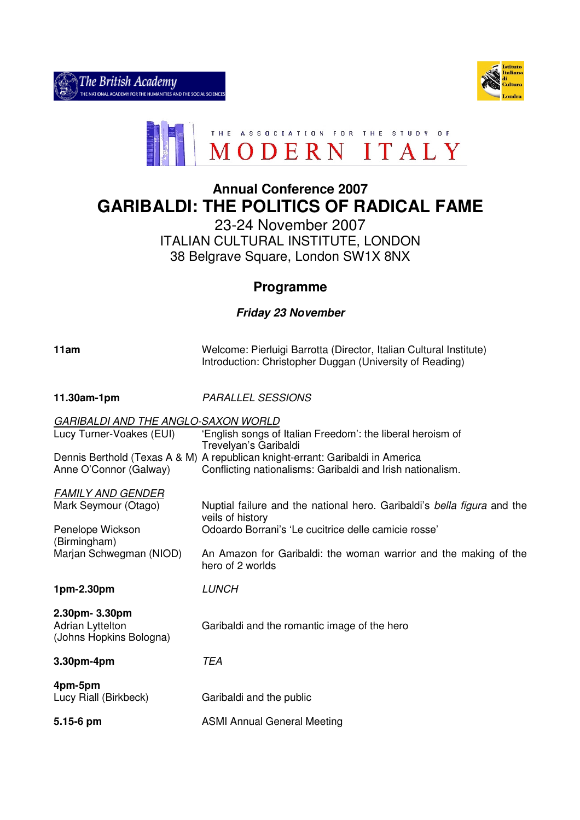



# **Annual Conference 2007 GARIBALDI: THE POLITICS OF RADICAL FAME**

23-24 November 2007 ITALIAN CULTURAL INSTITUTE, LONDON 38 Belgrave Square, London SW1X 8NX

## **Programme**

### **Friday 23 November**

| 11am                                                                                                            | Welcome: Pierluigi Barrotta (Director, Italian Cultural Institute)<br>Introduction: Christopher Duggan (University of Reading)                                                                                                              |
|-----------------------------------------------------------------------------------------------------------------|---------------------------------------------------------------------------------------------------------------------------------------------------------------------------------------------------------------------------------------------|
| 11.30am-1pm                                                                                                     | <b>PARALLEL SESSIONS</b>                                                                                                                                                                                                                    |
| GARIBALDI AND THE ANGLO-SAXON WORLD<br>Lucy Turner-Voakes (EUI)<br>Anne O'Connor (Galway)                       | 'English songs of Italian Freedom': the liberal heroism of<br>Trevelyan's Garibaldi<br>Dennis Berthold (Texas A & M) A republican knight-errant: Garibaldi in America<br>Conflicting nationalisms: Garibaldi and Irish nationalism.         |
| <b>FAMILY AND GENDER</b><br>Mark Seymour (Otago)<br>Penelope Wickson<br>(Birmingham)<br>Marjan Schwegman (NIOD) | Nuptial failure and the national hero. Garibaldi's bella figura and the<br>veils of history<br>Odoardo Borrani's 'Le cucitrice delle camicie rosse'<br>An Amazon for Garibaldi: the woman warrior and the making of the<br>hero of 2 worlds |
| 1pm-2.30pm                                                                                                      | <b>LUNCH</b>                                                                                                                                                                                                                                |
| 2.30pm- 3.30pm<br><b>Adrian Lyttelton</b><br>(Johns Hopkins Bologna)                                            | Garibaldi and the romantic image of the hero                                                                                                                                                                                                |
| 3.30pm-4pm                                                                                                      | <b>TEA</b>                                                                                                                                                                                                                                  |
| 4pm-5pm<br>Lucy Riall (Birkbeck)                                                                                | Garibaldi and the public                                                                                                                                                                                                                    |
| 5.15-6 pm                                                                                                       | <b>ASMI Annual General Meeting</b>                                                                                                                                                                                                          |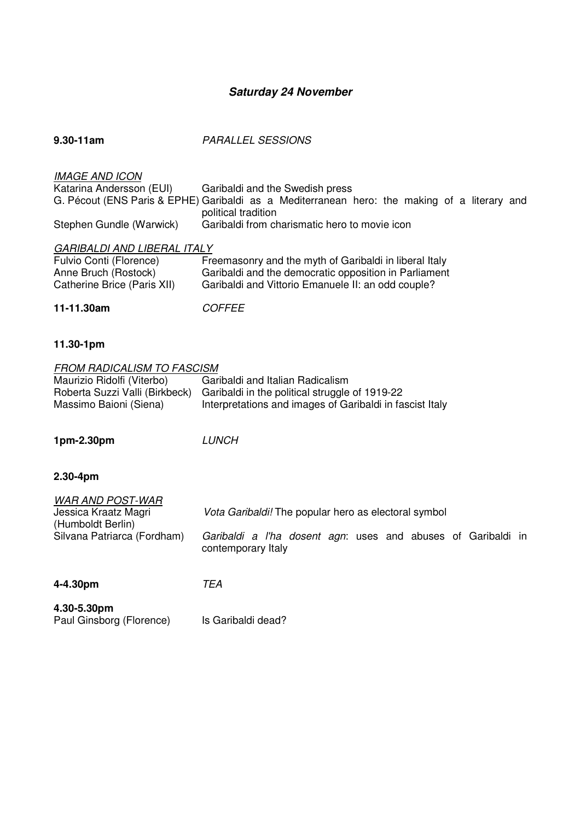## **Saturday 24 November**

| $9.30 - 11$ am                                    | <b>PARALLEL SESSIONS</b>                                                                                                        |
|---------------------------------------------------|---------------------------------------------------------------------------------------------------------------------------------|
| <b>IMAGE AND ICON</b><br>Katarina Andersson (EUI) | Garibaldi and the Swedish press<br>G. Pécout (ENS Paris & EPHE) Garibaldi as a Mediterranean hero: the making of a literary and |
| Stephen Gundle (Warwick)                          | political tradition<br>Garibaldi from charismatic hero to movie icon                                                            |
| <b>GARIBALDI AND LIBERAL ITALY</b>                |                                                                                                                                 |
| Fulvio Conti (Florence)                           | Freemasonry and the myth of Garibaldi in liberal Italy                                                                          |
| Anne Bruch (Rostock)                              | Garibaldi and the democratic opposition in Parliament                                                                           |
| Catherine Brice (Paris XII)                       | Garibaldi and Vittorio Emanuele II: an odd couple?                                                                              |
| 11-11.30am                                        |                                                                                                                                 |

#### **11.30-1pm**

| <b>FROM RADICALISM TO FASCISM</b> |                                                                               |
|-----------------------------------|-------------------------------------------------------------------------------|
| Maurizio Ridolfi (Viterbo)        | Garibaldi and Italian Radicalism                                              |
|                                   | Roberta Suzzi Valli (Birkbeck) Garibaldi in the political struggle of 1919-22 |
| Massimo Baioni (Siena)            | Interpretations and images of Garibaldi in fascist Italy                      |

**1pm-2.30pm** LUNCH

Paul Ginsborg (Florence) Is Garibaldi dead?

## **2.30-4pm**

| <b>WAR AND POST-WAR</b><br>Jessica Kraatz Magri<br>(Humboldt Berlin)<br>Silvana Patriarca (Fordham) | <i>Vota Garibaldi!</i> The popular hero as electoral symbol<br>Garibaldi a I'ha dosent agn: uses and abuses of Garibaldi in<br>contemporary Italy |
|-----------------------------------------------------------------------------------------------------|---------------------------------------------------------------------------------------------------------------------------------------------------|
| 4-4.30pm<br>4.30-5.30pm                                                                             | TEA                                                                                                                                               |